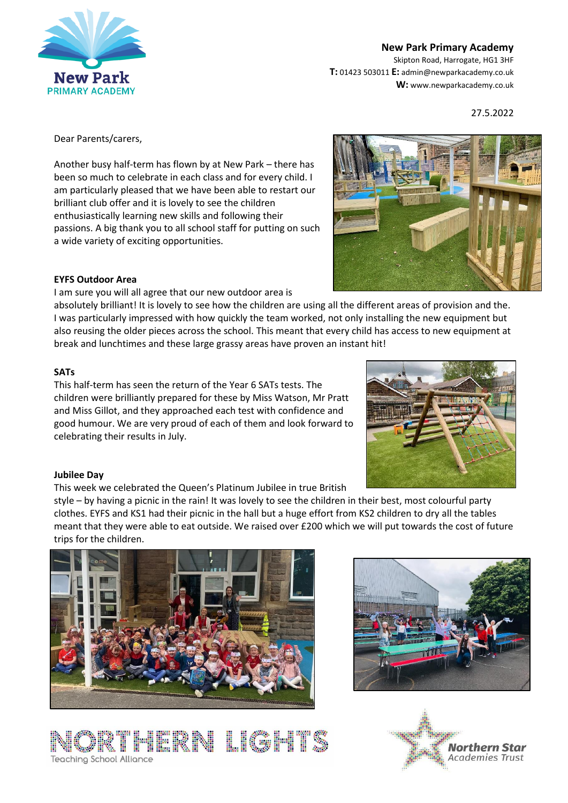

**New Park Primary Academy**

Skipton Road, Harrogate, HG1 3HF **T:** 01423 503011 **E:** admin@newparkacademy.co.uk **W:** www.newparkacademy.co.uk

27.5.2022

Dear Parents/carers,

Another busy half-term has flown by at New Park – there has been so much to celebrate in each class and for every child. I am particularly pleased that we have been able to restart our brilliant club offer and it is lovely to see the children enthusiastically learning new skills and following their passions. A big thank you to all school staff for putting on such a wide variety of exciting opportunities.



## **EYFS Outdoor Area**

I am sure you will all agree that our new outdoor area is

absolutely brilliant! It is lovely to see how the children are using all the different areas of provision and the. I was particularly impressed with how quickly the team worked, not only installing the new equipment but also reusing the older pieces across the school. This meant that every child has access to new equipment at break and lunchtimes and these large grassy areas have proven an instant hit!

## **SATs**

This half-term has seen the return of the Year 6 SATs tests. The children were brilliantly prepared for these by Miss Watson, Mr Pratt and Miss Gillot, and they approached each test with confidence and good humour. We are very proud of each of them and look forward to celebrating their results in July.



#### **Jubilee Day**

This week we celebrated the Queen's Platinum Jubilee in true British

style – by having a picnic in the rain! It was lovely to see the children in their best, most colourful party clothes. EYFS and KS1 had their picnic in the hall but a huge effort from KS2 children to dry all the tables meant that they were able to eat outside. We raised over £200 which we will put towards the cost of future trips for the children.